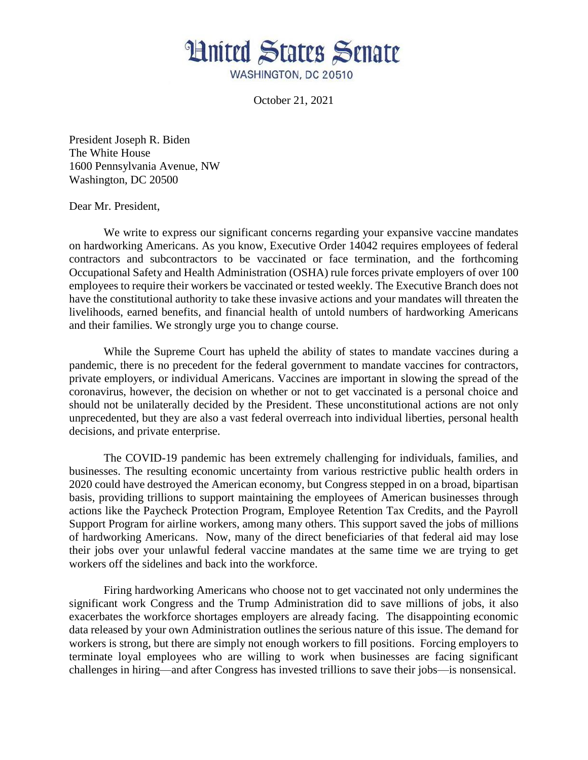

October 21, 2021

President Joseph R. Biden The White House 1600 Pennsylvania Avenue, NW Washington, DC 20500

Dear Mr. President,

We write to express our significant concerns regarding your expansive vaccine mandates on hardworking Americans. As you know, Executive Order 14042 requires employees of federal contractors and subcontractors to be vaccinated or face termination, and the forthcoming Occupational Safety and Health Administration (OSHA) rule forces private employers of over 100 employees to require their workers be vaccinated or tested weekly. The Executive Branch does not have the constitutional authority to take these invasive actions and your mandates will threaten the livelihoods, earned benefits, and financial health of untold numbers of hardworking Americans and their families. We strongly urge you to change course.

While the Supreme Court has upheld the ability of states to mandate vaccines during a pandemic, there is no precedent for the federal government to mandate vaccines for contractors, private employers, or individual Americans. Vaccines are important in slowing the spread of the coronavirus, however, the decision on whether or not to get vaccinated is a personal choice and should not be unilaterally decided by the President. These unconstitutional actions are not only unprecedented, but they are also a vast federal overreach into individual liberties, personal health decisions, and private enterprise.

The COVID-19 pandemic has been extremely challenging for individuals, families, and businesses. The resulting economic uncertainty from various restrictive public health orders in 2020 could have destroyed the American economy, but Congress stepped in on a broad, bipartisan basis, providing trillions to support maintaining the employees of American businesses through actions like the Paycheck Protection Program, Employee Retention Tax Credits, and the Payroll Support Program for airline workers, among many others. This support saved the jobs of millions of hardworking Americans. Now, many of the direct beneficiaries of that federal aid may lose their jobs over your unlawful federal vaccine mandates at the same time we are trying to get workers off the sidelines and back into the workforce.

Firing hardworking Americans who choose not to get vaccinated not only undermines the significant work Congress and the Trump Administration did to save millions of jobs, it also exacerbates the workforce shortages employers are already facing. The disappointing economic data released by your own Administration outlines the serious nature of this issue. The demand for workers is strong, but there are simply not enough workers to fill positions. Forcing employers to terminate loyal employees who are willing to work when businesses are facing significant challenges in hiring—and after Congress has invested trillions to save their jobs—is nonsensical.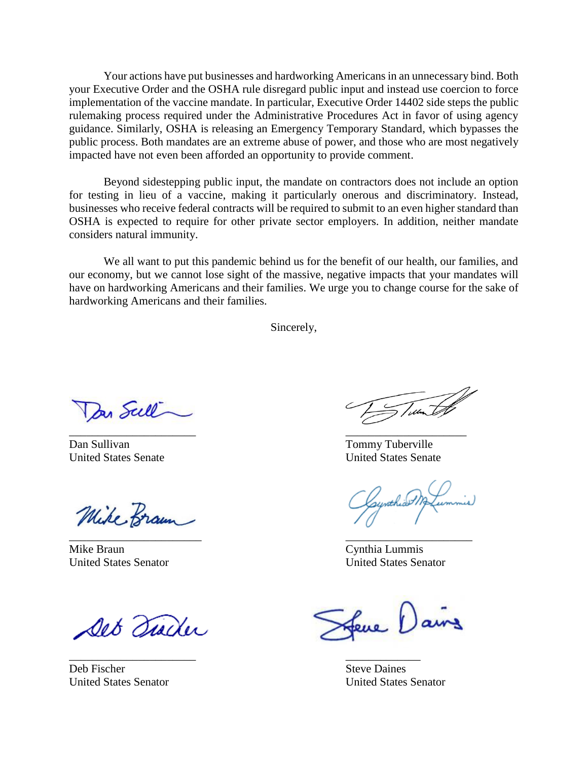Your actions have put businesses and hardworking Americans in an unnecessary bind. Both your Executive Order and the OSHA rule disregard public input and instead use coercion to force implementation of the vaccine mandate. In particular, Executive Order 14402 side steps the public rulemaking process required under the Administrative Procedures Act in favor of using agency guidance. Similarly, OSHA is releasing an Emergency Temporary Standard, which bypasses the public process. Both mandates are an extreme abuse of power, and those who are most negatively impacted have not even been afforded an opportunity to provide comment.

Beyond sidestepping public input, the mandate on contractors does not include an option for testing in lieu of a vaccine, making it particularly onerous and discriminatory. Instead, businesses who receive federal contracts will be required to submit to an even higher standard than OSHA is expected to require for other private sector employers. In addition, neither mandate considers natural immunity.

We all want to put this pandemic behind us for the benefit of our health, our families, and our economy, but we cannot lose sight of the massive, negative impacts that your mandates will have on hardworking Americans and their families. We urge you to change course for the sake of hardworking Americans and their families.

Sincerely,

Dan Scell

Dan Sullivan Tommy Tuberville

Mike Braun  $\overline{\phantom{a}}$  , and the contract of the contract of the contract of the contract of the contract of the contract of the contract of the contract of the contract of the contract of the contract of the contract of the contrac

Mike Braun Cynthia Lummis

Det Diader

\_\_\_\_\_\_\_\_\_\_\_\_\_\_\_\_\_\_\_\_\_\_ \_\_\_\_\_\_\_\_\_\_\_\_\_

Deb Fischer Steve Daines

 $\sqrt{m}$  $\overline{\phantom{a}}$  , and the contract of the contract of the contract of the contract of the contract of the contract of the contract of the contract of the contract of the contract of the contract of the contract of the contrac

United States Senate United States Senate

Gynthiad M

United States Senator United States Senator

Leve Dains

United States Senator United States Senator